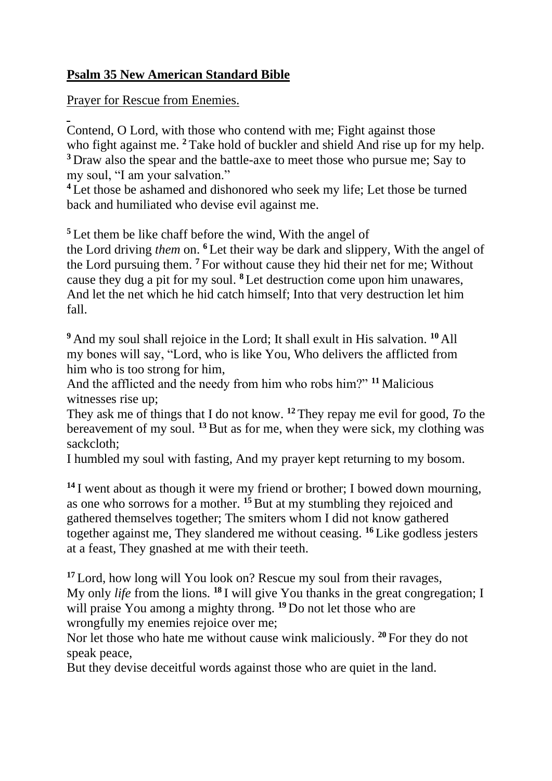## **Psalm 35 New American Standard Bible**

Prayer for Rescue from Enemies.

Contend, O Lord, with those who contend with me; Fight against those who fight against me. <sup>2</sup> Take hold of buckler and shield And rise up for my help. **<sup>3</sup>** Draw also the spear and the battle-axe to meet those who pursue me; Say to my soul, "I am your salvation."

**<sup>4</sup>** Let those be ashamed and dishonored who seek my life; Let those be turned back and humiliated who devise evil against me.

**<sup>5</sup>** Let them be like chaff before the wind, With the angel of

the Lord driving *them* on. **<sup>6</sup>** Let their way be dark and slippery, With the angel of the Lord pursuing them. **<sup>7</sup>** For without cause they hid their net for me; Without cause they dug a pit for my soul. **<sup>8</sup>** Let destruction come upon him unawares, And let the net which he hid catch himself; Into that very destruction let him fall.

**<sup>9</sup>** And my soul shall rejoice in the Lord; It shall exult in His salvation. **<sup>10</sup>** All my bones will say, "Lord, who is like You, Who delivers the afflicted from him who is too strong for him,

And the afflicted and the needy from him who robs him?" **<sup>11</sup>** Malicious witnesses rise up;

They ask me of things that I do not know. **<sup>12</sup>** They repay me evil for good, *To* the bereavement of my soul. **<sup>13</sup>**But as for me, when they were sick, my clothing was sackcloth;

I humbled my soul with fasting, And my prayer kept returning to my bosom.

**<sup>14</sup>** I went about as though it were my friend or brother; I bowed down mourning, as one who sorrows for a mother. **<sup>15</sup>**But at my stumbling they rejoiced and gathered themselves together; The smiters whom I did not know gathered together against me, They slandered me without ceasing. **<sup>16</sup>** Like godless jesters at a feast, They gnashed at me with their teeth.

<sup>17</sup> Lord, how long will You look on? Rescue my soul from their ravages, My only *life* from the lions. **<sup>18</sup>** I will give You thanks in the great congregation; I will praise You among a mighty throng. <sup>19</sup> Do not let those who are wrongfully my enemies rejoice over me;

Nor let those who hate me without cause wink maliciously. **<sup>20</sup>** For they do not speak peace,

But they devise deceitful words against those who are quiet in the land.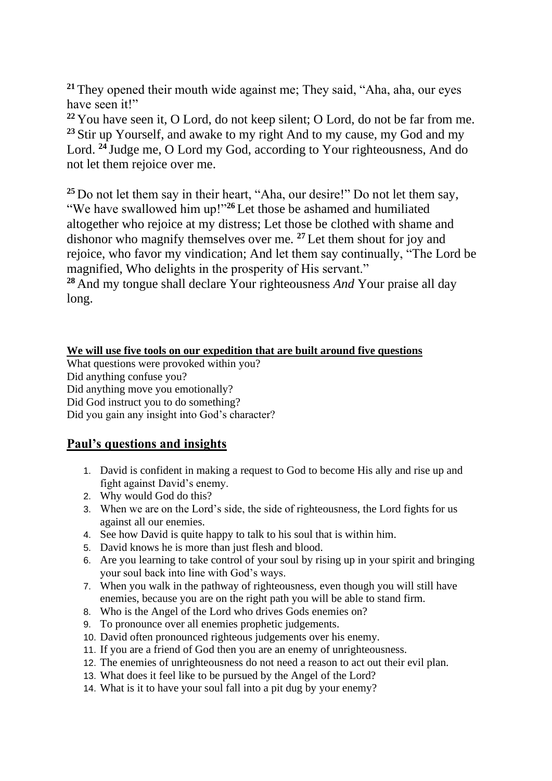**<sup>21</sup>** They opened their mouth wide against me; They said, "Aha, aha, our eyes have seen it!"

**<sup>22</sup>** You have seen it, O Lord, do not keep silent; O Lord, do not be far from me. <sup>23</sup> Stir up Yourself, and awake to my right And to my cause, my God and my Lord. **<sup>24</sup>** Judge me, O Lord my God, according to Your righteousness, And do not let them rejoice over me.

**<sup>25</sup>** Do not let them say in their heart, "Aha, our desire!" Do not let them say, "We have swallowed him up!"**<sup>26</sup>** Let those be ashamed and humiliated altogether who rejoice at my distress; Let those be clothed with shame and dishonor who magnify themselves over me. **<sup>27</sup>** Let them shout for joy and rejoice, who favor my vindication; And let them say continually, "The Lord be magnified, Who delights in the prosperity of His servant."

**<sup>28</sup>** And my tongue shall declare Your righteousness *And* Your praise all day long.

## **We will use five tools on our expedition that are built around five questions**

What questions were provoked within you? Did anything confuse you? Did anything move you emotionally? Did God instruct you to do something? Did you gain any insight into God's character?

## **Paul's questions and insights**

- 1. David is confident in making a request to God to become His ally and rise up and fight against David's enemy.
- 2. Why would God do this?
- 3. When we are on the Lord's side, the side of righteousness, the Lord fights for us against all our enemies.
- 4. See how David is quite happy to talk to his soul that is within him.
- 5. David knows he is more than just flesh and blood.
- 6. Are you learning to take control of your soul by rising up in your spirit and bringing your soul back into line with God's ways.
- 7. When you walk in the pathway of righteousness, even though you will still have enemies, because you are on the right path you will be able to stand firm.
- 8. Who is the Angel of the Lord who drives Gods enemies on?
- 9. To pronounce over all enemies prophetic judgements.
- 10. David often pronounced righteous judgements over his enemy.
- 11. If you are a friend of God then you are an enemy of unrighteousness.
- 12. The enemies of unrighteousness do not need a reason to act out their evil plan.
- 13. What does it feel like to be pursued by the Angel of the Lord?
- 14. What is it to have your soul fall into a pit dug by your enemy?